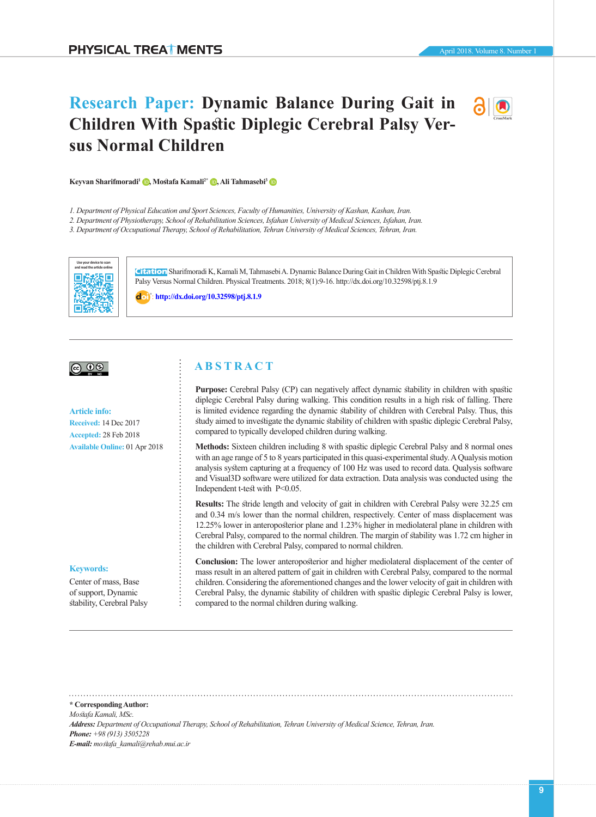# **Children With Spastic Diplegic Cerebral Palsy Versus Normal Children**

**Research Paper: Dynamic Balance During Gait in** 



*1. Department of Physical Education and Sport Sciences, Faculty of Humanities, University of Kashan, Kashan, Iran.*

*2. Department of Physiotherapy, School of Rehabilitation Sciences, Isfahan University of Medical Sciences, Isfahan, Iran.*

*3. Department of Occupational Therapy, School of Rehabilitation, Tehran University of Medical Sciences, Tehran, Iran.*



**Citation** Sharifmoradi K, Kamali M, Tahmasebi A. Dynamic Balance During Gait in Children With Spastic Diplegic Cerebral Palsy Versus Normal Children. Physical Treatments. 2018; 8(1):9-16. http://dx.doi.org/10.32598/ptj.8.1.9

: **<http://dx.doi.org/10.32598/ptj.8.1.9>**

# $\circledcirc$   $\circledcirc$

#### **Article info:**

**Received:** 14 Dec 2017 **Accepted:** 28 Feb 2018 **Available Online:** 01 Apr 2018

#### **Keywords:**

Center of mass, Base of support, Dynamic stability, Cerebral Palsy

# **A B S T R A C T**

**Purpose:** Cerebral Palsy (CP) can negatively affect dynamic stability in children with spastic diplegic Cerebral Palsy during walking. This condition results in a high risk of falling. There is limited evidence regarding the dynamic stability of children with Cerebral Palsy. Thus, this study aimed to investigate the dynamic stability of children with spastic diplegic Cerebral Palsy, compared to typically developed children during walking.

**Methods:** Sixteen children including 8 with spastic diplegic Cerebral Palsy and 8 normal ones with an age range of 5 to 8 years participated in this quasi-experimental study. A Qualysis motion analysis system capturing at a frequency of 100 Hz was used to record data. Qualysis software and Visual3D software were utilized for data extraction. Data analysis was conducted using the Independent t-test with P<0.05.

**Results:** The stride length and velocity of gait in children with Cerebral Palsy were 32.25 cm and 0.34 m/s lower than the normal children, respectively. Center of mass displacement was 12.25% lower in anteroposterior plane and 1.23% higher in mediolateral plane in children with Cerebral Palsy, compared to the normal children. The margin of stability was 1.72 cm higher in the children with Cerebral Palsy, compared to normal children.

**Conclusion:** The lower anteroposterior and higher mediolateral displacement of the center of mass result in an altered pattern of gait in children with Cerebral Palsy, compared to the normal children. Considering the aforementioned changes and the lower velocity of gait in children with Cerebral Palsy, the dynamic stability of children with spastic diplegic Cerebral Palsy is lower, compared to the normal children during walking.

**\* Corresponding Author:** *Mostafa Kamali, MSc. Address: Department of Occupational Therapy, School of Rehabilitation, Tehran University of Medical Science, Tehran, Iran. Phone: +98 (913) 3505228 E-mail: mostafa\_kamali@rehab.mui.ac.ir*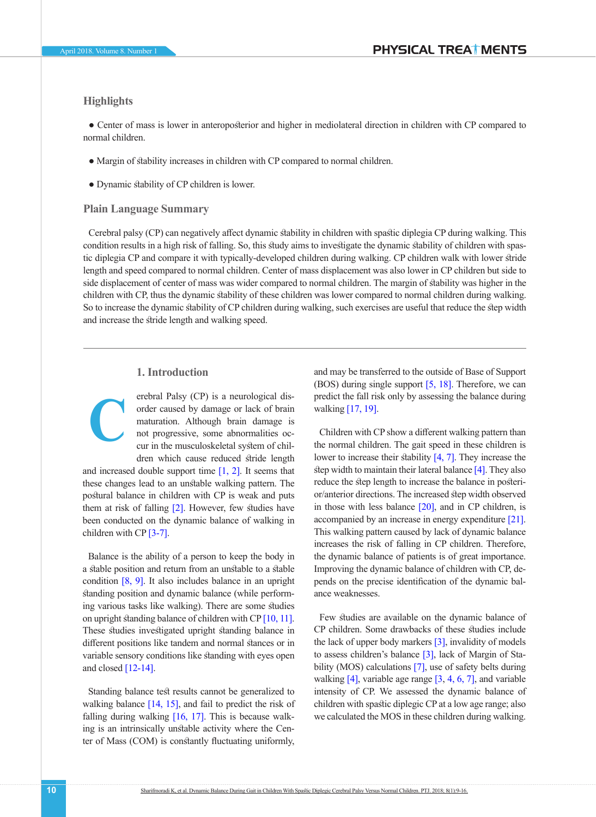# **Highlights**

**C**

**●** Center of mass is lower in anteroposterior and higher in mediolateral direction in children with CP compared to normal children.

- **●** Margin of stability increases in children with CP compared to normal children.
- **●** Dynamic stability of CP children is lower.

# **Plain Language Summary**

Cerebral palsy (CP) can negatively affect dynamic stability in children with spastic diplegia CP during walking. This condition results in a high risk of falling. So, this study aims to investigate the dynamic stability of children with spastic diplegia CP and compare it with typically-developed children during walking. CP children walk with lower stride length and speed compared to normal children. Center of mass displacement was also lower in CP children but side to side displacement of center of mass was wider compared to normal children. The margin of stability was higher in the children with CP, thus the dynamic stability of these children was lower compared to normal children during walking. So to increase the dynamic stability of CP children during walking, such exercises are useful that reduce the step width and increase the stride length and walking speed.

# **1. Introduction**

erebral Palsy (CP) is a neurological disorder caused by damage or lack of brain maturation. Although brain damage is not progressive, some abnormalities occur in the musculoskeletal system of children which cause reduced stride length

and increased double support time  $[1, 2]$  $[1, 2]$  $[1, 2]$ . It seems that these changes lead to an unstable walking pattern. The postural balance in children with CP is weak and puts them at risk of falling [\[2\]](#page-6-1). However, few studies have been conducted on the dynamic balance of walking in children with CP [\[3-7\]](#page-6-2).

Balance is the ability of a person to keep the body in a stable position and return from an unstable to a stable condition [\[8,](#page-6-3) [9\].](#page-6-4) It also includes balance in an upright standing position and dynamic balance (while performing various tasks like walking). There are some studies on upright standing balance of children with CP [\[10,](#page-6-5) [11\].](#page-6-6) These studies investigated upright standing balance in different positions like tandem and normal stances or in variable sensory conditions like standing with eyes open and closed [\[12-14\].](#page-6-7)

Standing balance test results cannot be generalized to walking balance [\[14,](#page-6-8) [15\]](#page-6-9), and fail to predict the risk of falling during walking  $[16, 17]$  $[16, 17]$ . This is because walking is an intrinsically unstable activity where the Center of Mass (COM) is constantly fluctuating uniformly,

and may be transferred to the outside of Base of Support (BOS) during single support [\[5,](#page-6-11) [18\].](#page-6-12) Therefore, we can predict the fall risk only by assessing the balance during walking [\[17,](#page-6-10) 19].

Children with CP show a different walking pattern than the normal children. The gait speed in these children is lower to increase their stability [\[4,](#page-6-13) [7\].](#page-6-14) They increase the step width to maintain their lateral balance  $[4]$ . They also reduce the step length to increase the balance in posterior/anterior directions. The increased step width observed in those with less balance  $[20]$ , and in CP children, is accompanied by an increase in energy expenditur[e \[21\].](#page-6-15) This walking pattern caused by lack of dynamic balance increases the risk of falling in CP children. Therefore, the dynamic balance of patients is of great importance. Improving the dynamic balance of children with CP, depends on the precise identification of the dynamic balance weaknesses.

Few studies are available on the dynamic balance of CP children. Some drawbacks of these studies include the lack of upper body markers [\[3\],](#page-6-2) invalidity of models to assess children's balance [\[3\],](#page-6-2) lack of Margin of Sta-bility (MOS) calculations [\[7\],](#page-6-14) use of safety belts during walking [\[4\]](#page-6-13), variable age range [3, [4,](#page-6-13) [6,](#page-6-11) [7\]](#page-6-14), and variable intensity of CP. We assessed the dynamic balance of children with spastic diplegic CP at a low age range; also we calculated the MOS in these children during walking.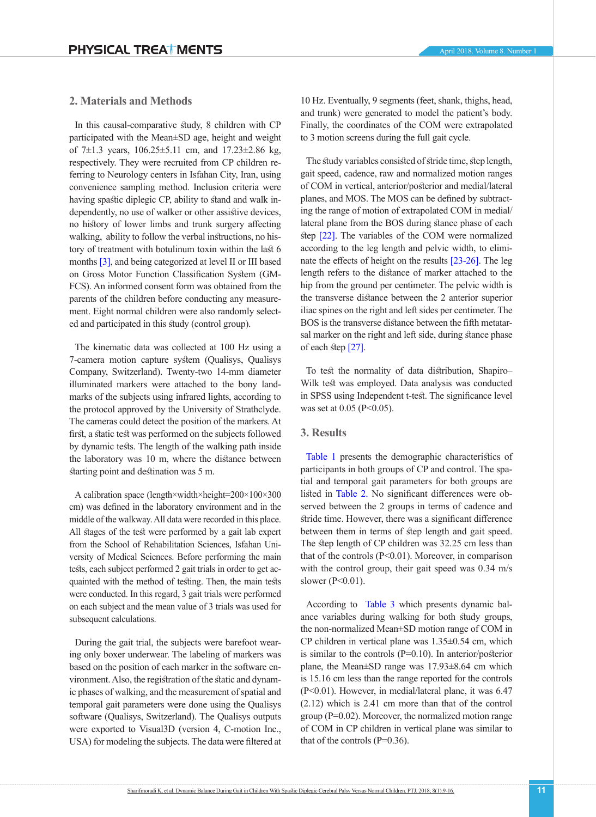# **2. Materials and Methods**

In this causal-comparative study, 8 children with CP participated with the Mean±SD age, height and weight of 7 $\pm$ 1.3 years, 106.25 $\pm$ 5.11 cm, and 17.23 $\pm$ 2.86 kg, respectively. They were recruited from CP children referring to Neurology centers in Isfahan City, Iran, using convenience sampling method. Inclusion criteria were having spastic diplegic CP, ability to stand and walk independently, no use of walker or other assistive devices, no history of lower limbs and trunk surgery affecting walking, ability to follow the verbal instructions, no history of treatment with botulinum toxin within the last 6 months [\[3\],](#page-6-2) and being categorized at level II or III based on Gross Motor Function Classification System (GM-FCS). An informed consent form was obtained from the parents of the children before conducting any measurement. Eight normal children were also randomly selected and participated in this study (control group).

The kinematic data was collected at 100 Hz using a 7-camera motion capture system (Qualisys, Qualisys Company, Switzerland). Twenty-two 14-mm diameter illuminated markers were attached to the bony landmarks of the subjects using infrared lights, according to the protocol approved by the University of Strathclyde. The cameras could detect the position of the markers. At first, a static test was performed on the subjects followed by dynamic tests. The length of the walking path inside the laboratory was 10 m, where the distance between starting point and destination was 5 m.

A calibration space (length×width×height=200×100×300 cm) was defined in the laboratory environment and in the middle of the walkway. All data were recorded in this place. All stages of the test were performed by a gait lab expert from the School of Rehabilitation Sciences, Isfahan University of Medical Sciences. Before performing the main tests, each subject performed 2 gait trials in order to get acquainted with the method of testing. Then, the main tests were conducted. In this regard, 3 gait trials were performed on each subject and the mean value of 3 trials was used for subsequent calculations.

During the gait trial, the subjects were barefoot wearing only boxer underwear. The labeling of markers was based on the position of each marker in the software environment. Also, the registration of the static and dynamic phases of walking, and the measurement of spatial and temporal gait parameters were done using the Qualisys software (Qualisys, Switzerland). The Qualisys outputs were exported to Visual3D (version 4, C-motion Inc., USA) for modeling the subjects. The data were filtered at 10 Hz. Eventually, 9 segments (feet, shank, thighs, head, and trunk) were generated to model the patient's body. Finally, the coordinates of the COM were extrapolated to 3 motion screens during the full gait cycle.

The study variables consisted of stride time, step length, gait speed, cadence, raw and normalized motion ranges of COM in vertical, anterior/posterior and medial/lateral planes, and MOS. The MOS can be defined by subtracting the range of motion of extrapolated COM in medial/ lateral plane from the BOS during stance phase of each step [\[22\].](#page-6-16) The variables of the COM were normalized according to the leg length and pelvic width, to eliminate the effects of height on the results [23-26]. The leg length refers to the distance of marker attached to the hip from the ground per centimeter. The pelvic width is the transverse distance between the 2 anterior superior iliac spines on the right and left sides per centimeter. The BOS is the transverse distance between the fifth metatarsal marker on the right and left side, during stance phase of each step [\[27\].](#page-7-0)

To test the normality of data distribution, Shapiro– Wilk test was employed. Data analysis was conducted in SPSS using Independent t-test. The significance level was set at 0.05 (P<0.05).

# **3. Results**

[Table 1](#page-3-0) presents the demographic characteristics of participants in both groups of CP and control. The spatial and temporal gait parameters for both groups are listed in [Table 2.](#page-3-1) No significant differences were observed between the 2 groups in terms of cadence and stride time. However, there was a significant difference between them in terms of step length and gait speed. The step length of CP children was 32.25 cm less than that of the controls  $(P<0.01)$ . Moreover, in comparison with the control group, their gait speed was 0.34 m/s slower (P<0.01).

According to [Table 3](#page-3-2) which presents dynamic balance variables during walking for both study groups, the non-normalized Mean±SD motion range of COM in CP children in vertical plane was 1.35±0.54 cm, which is similar to the controls (P=0.10). In anterior/posterior plane, the Mean±SD range was 17.93±8.64 cm which is 15.16 cm less than the range reported for the controls (P<0.01). However, in medial/lateral plane, it was 6.47 (2.12) which is 2.41 cm more than that of the control group (P=0.02). Moreover, the normalized motion range of COM in CP children in vertical plane was similar to that of the controls  $(P=0.36)$ .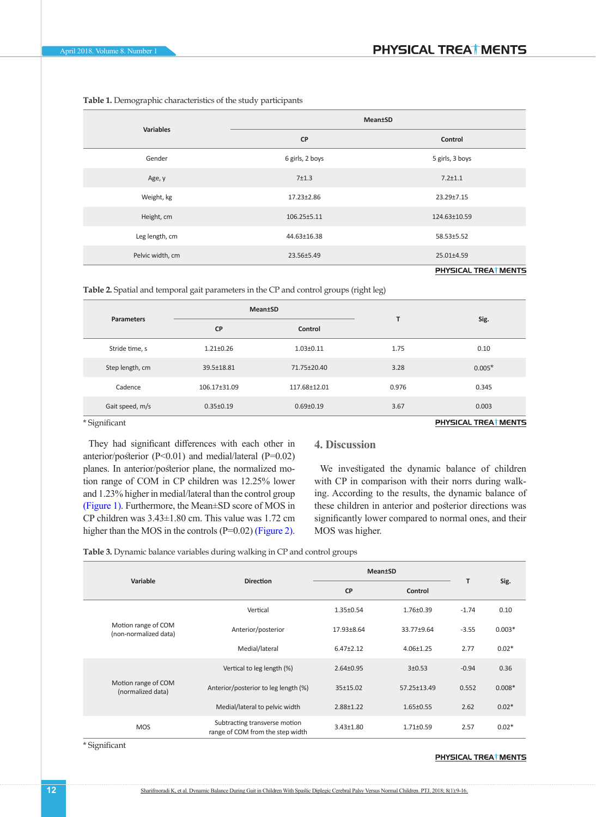| <b>Variables</b> | <b>Mean±SD</b>  |                     |  |
|------------------|-----------------|---------------------|--|
|                  | <b>CP</b>       | Control             |  |
| Gender           | 6 girls, 2 boys | 5 girls, 3 boys     |  |
| Age, y           | 7±1.3           | $7.2 \pm 1.1$       |  |
| Weight, kg       | 17.23±2.86      | 23.29±7.15          |  |
| Height, cm       | 106.25±5.11     | 124.63±10.59        |  |
| Leg length, cm   | 44.63±16.38     | 58.53±5.52          |  |
| Pelvic width, cm | 23.56±5.49      | 25.01±4.59          |  |
|                  |                 | PHYSICAL TREATMENTS |  |

<span id="page-3-0"></span>**Table 1.** Demographic characteristics of the study participants

<span id="page-3-1"></span>**Table 2.** Spatial and temporal gait parameters in the CP and control groups (right leg)

| <b>Parameters</b> | <b>Mean±SD</b>  |                 | T     |                      |
|-------------------|-----------------|-----------------|-------|----------------------|
|                   | <b>CP</b>       | Control         |       | Sig.                 |
| Stride time, s    | $1.21 \pm 0.26$ | $1.03 \pm 0.11$ | 1.75  | 0.10                 |
| Step length, cm   | 39.5±18.81      | 71.75±20.40     | 3.28  | $0.005*$             |
| Cadence           | 106.17±31.09    | 117.68±12.01    | 0.976 | 0.345                |
| Gait speed, m/s   | $0.35 \pm 0.19$ | $0.69 \pm 0.19$ | 3.67  | 0.003                |
| * Significant     |                 |                 |       | PHYSICAL TREAT MENTS |

\* Significant

They had significant differences with each other in anterior/posterior (P<0.01) and medial/lateral (P=0.02) planes. In anterior/posterior plane, the normalized motion range of COM in CP children was 12.25% lower and 1.23% higher in medial/lateral than the control group [\(Figure 1\).](#page-4-0) Furthermore, the Mean±SD score of MOS in CP children was 3.43±1.80 cm. This value was 1.72 cm higher than the MOS in the controls (P=0.02) [\(Figure 2\)](#page-4-1).

# **4. Discussion**

We investigated the dynamic balance of children with CP in comparison with their norrs during walking. According to the results, the dynamic balance of these children in anterior and posterior directions was significantly lower compared to normal ones, and their MOS was higher.

<span id="page-3-2"></span>**Table 3.** Dynamic balance variables during walking in CP and control groups

|                                              |                                                                   | <b>Mean±SD</b>  |                 |         |          |
|----------------------------------------------|-------------------------------------------------------------------|-----------------|-----------------|---------|----------|
| Variable                                     | <b>Direction</b>                                                  | <b>CP</b>       | Control         | T       | Sig.     |
| Motion range of COM<br>(non-normalized data) | Vertical                                                          | $1.35 \pm 0.54$ | $1.76 \pm 0.39$ | $-1.74$ | 0.10     |
|                                              | Anterior/posterior                                                | 17.93±8.64      | 33.77±9.64      | $-3.55$ | $0.003*$ |
|                                              | Medial/lateral                                                    | $6.47 \pm 2.12$ | $4.06 \pm 1.25$ | 2.77    | $0.02*$  |
| Motion range of COM<br>(normalized data)     | Vertical to leg length (%)                                        | $2.64 + 0.95$   | $3+0.53$        | $-0.94$ | 0.36     |
|                                              | Anterior/posterior to leg length (%)                              | $35+15.02$      | 57.25±13.49     | 0.552   | $0.008*$ |
|                                              | Medial/lateral to pelvic width                                    | 2.88±1.22       | $1.65 \pm 0.55$ | 2.62    | $0.02*$  |
| <b>MOS</b>                                   | Subtracting transverse motion<br>range of COM from the step width | $3.43 \pm 1.80$ | $1.71 \pm 0.59$ | 2.57    | $0.02*$  |

\* Significant

#### PHYSICAL TREAT MENTS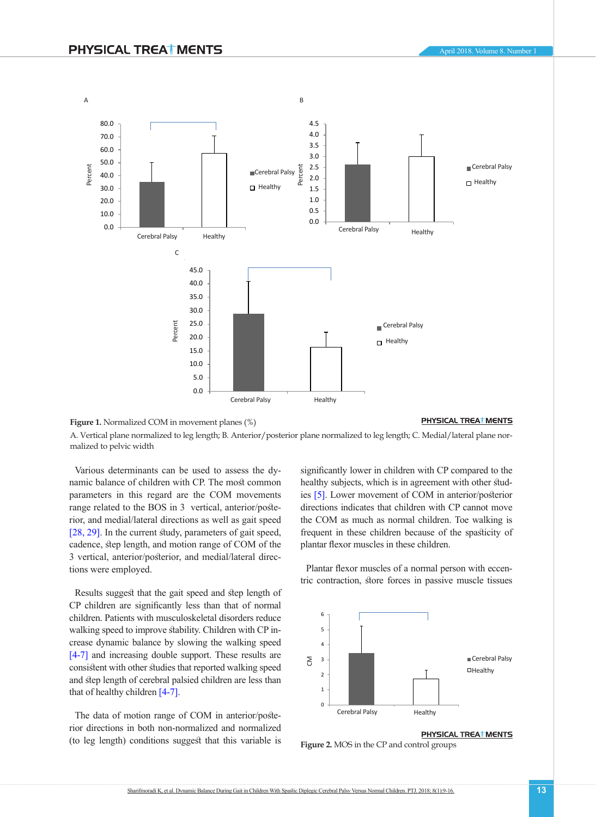

<span id="page-4-0"></span>PHYSICAL TREATMENTS **Figure 1.** Normalized COM in movement planes (%) <sup>2</sup><br>A. Vertical plane normalized to leg length; B. Anterior/posterior plane normalized to leg length; C. Medial/lateral plane normalized to pelvic width

Various determinants can be used to assess the dy-6 namic balance of children with CP. The most common parameters in this regard are the COM movements range related to the BOS in 3 vertical, anterior/posterior, and medial/lateral directions as well as gait speed [\[28,](#page-7-1) [29\]](#page-7-2). In the current study, parameters of gait speed,  $[26, 25]$ . In the current study, parameters of gait speed, cadence, step length, and motion range of COM of the 3 vertical, anterior/posterior, and medial/lateral direc-2 tions were employed.

Results suggest that the gait speed and step length of 1 CP children are significantly less than that of normal 0 children. Patients with musculoskeletal disorders reduce emidicing speed to improve stability. Children with CP increase dynamic balance by slowing the walking speed [\[4-7\]](#page-6-13) and increasing double support. These results are consistent with other studies that reported walking speed and step length of cerebral palsied children are less than that of healthy children [\[4-7\].](#page-6-13)

The data of motion range of COM in anterior/posterior directions in both non-normalized and normalized (to leg length) conditions suggest that this variable is significantly lower in children with CP compared to the healthy subjects, which is in agreement with other studies  $[5]$ . Lower movement of COM in anterior/posterior directions indicates that children with CP cannot move the COM as much as normal children. Toe walking is frequent in these children because of the spasticity of plantar flexor muscles in these children. 25.0 **درصد**

Plantar flexor muscles of a normal person with eccentric contraction, store forces in passive muscle tissues



# PHYSICAL TREAT MENTS

<span id="page-4-1"></span>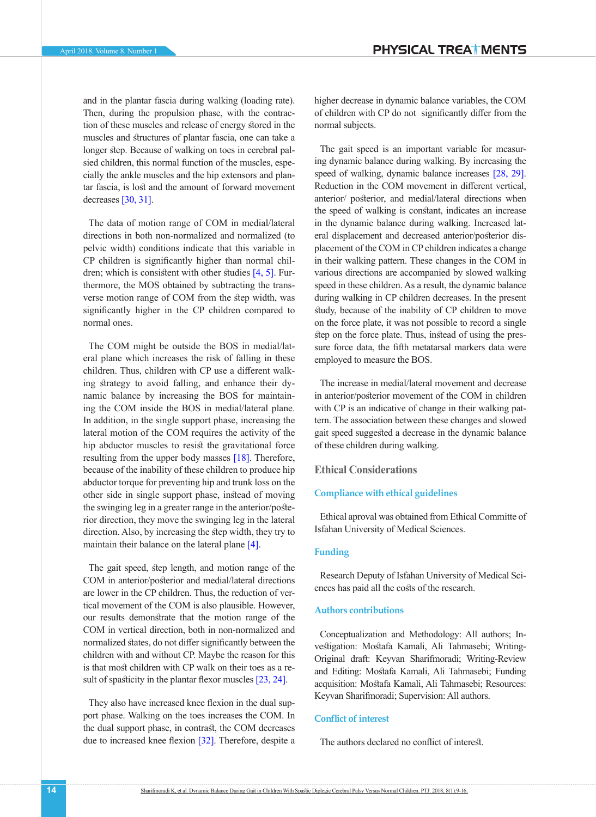and in the plantar fascia during walking (loading rate). Then, during the propulsion phase, with the contraction of these muscles and release of energy stored in the muscles and structures of plantar fascia, one can take a longer step. Because of walking on toes in cerebral palsied children, this normal function of the muscles, especially the ankle muscles and the hip extensors and plantar fascia, is lost and the amount of forward movement decreases [\[30,](#page-7-3) [31\].](#page-7-4)

The data of motion range of COM in medial/lateral directions in both non-normalized and normalized (to pelvic width) conditions indicate that this variable in CP children is significantly higher than normal children; which is consistent with other studies  $[4, 5]$  $[4, 5]$  $[4, 5]$ . Furthermore, the MOS obtained by subtracting the transverse motion range of COM from the step width, was significantly higher in the CP children compared to normal ones.

The COM might be outside the BOS in medial/lateral plane which increases the risk of falling in these children. Thus, children with CP use a different walking strategy to avoid falling, and enhance their dynamic balance by increasing the BOS for maintaining the COM inside the BOS in medial/lateral plane. In addition, in the single support phase, increasing the lateral motion of the COM requires the activity of the hip abductor muscles to resist the gravitational force resulting from the upper body masses [\[18\]](#page-6-12). Therefore, because of the inability of these children to produce hip abductor torque for preventing hip and trunk loss on the other side in single support phase, instead of moving the swinging leg in a greater range in the anterior/posterior direction, they move the swinging leg in the lateral direction. Also, by increasing the step width, they try to maintain their balance on the lateral plane [\[4\].](#page-6-13)

The gait speed, step length, and motion range of the COM in anterior/posterior and medial/lateral directions are lower in the CP children. Thus, the reduction of vertical movement of the COM is also plausible. However, our results demonstrate that the motion range of the COM in vertical direction, both in non-normalized and normalized states, do not differ significantly between the children with and without CP. Maybe the reason for this is that most children with CP walk on their toes as a re-sult of spasticity in the plantar flexor muscles [23, [24\]](#page-6-17).

They also have increased knee flexion in the dual support phase. Walking on the toes increases the COM. In the dual support phase, in contrast, the COM decreases due to increased knee flexion [\[32\].](#page-7-5) Therefore, despite a higher decrease in dynamic balance variables, the COM of children with CP do not significantly differ from the normal subjects.

The gait speed is an important variable for measuring dynamic balance during walking. By increasing the speed of walking, dynamic balance increases [\[28,](#page-7-1) [29\]](#page-7-2). Reduction in the COM movement in different vertical, anterior/ posterior, and medial/lateral directions when the speed of walking is constant, indicates an increase in the dynamic balance during walking. Increased lateral displacement and decreased anterior/posterior displacement of the COM in CP children indicates a change in their walking pattern. These changes in the COM in various directions are accompanied by slowed walking speed in these children. As a result, the dynamic balance during walking in CP children decreases. In the present study, because of the inability of CP children to move on the force plate, it was not possible to record a single step on the force plate. Thus, instead of using the pressure force data, the fifth metatarsal markers data were employed to measure the BOS.

The increase in medial/lateral movement and decrease in anterior/posterior movement of the COM in children with CP is an indicative of change in their walking pattern. The association between these changes and slowed gait speed suggested a decrease in the dynamic balance of these children during walking.

# **Ethical Considerations**

### **Compliance with ethical guidelines**

Ethical aproval was obtained from Ethical Committe of Isfahan University of Medical Sciences.

# **Funding**

Research Deputy of Isfahan University of Medical Sciences has paid all the costs of the research.

# **Authors contributions**

Conceptualization and Methodology: All authors; Investigation: Mostafa Kamali, Ali Tahmasebi; Writing-Original draft: Keyvan Sharifmoradi; Writing-Review and Editing: Mostafa Kamali, Ali Tahmasebi; Funding acquisition: Mostafa Kamali, Ali Tahmasebi; Resources: Keyvan Sharifmoradi; Supervision: All authors.

# **Conflict of interest**

The authors declared no conflict of interest.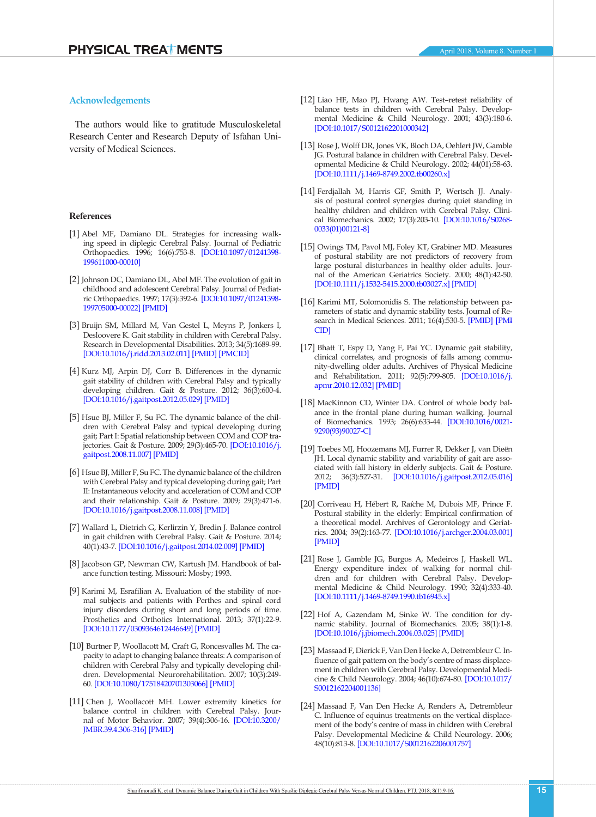# **Acknowledgements**

The authors would like to gratitude Musculoskeletal Research Center and Research Deputy of Isfahan University of Medical Sciences.

#### **References**

- <span id="page-6-0"></span>[1] Abel MF, Damiano DL. Strategies for increasing walking speed in diplegic Cerebral Palsy. Journal of Pediatric Orthopaedics. 1996; 16(6):753-8. [\[DOI:10.1097/01241398-](https://doi.org/10.1097/01241398-199611000-00010) [199611000-00010](https://doi.org/10.1097/01241398-199611000-00010)]
- <span id="page-6-1"></span>[2] Johnson DC, Damiano DL, Abel MF. The evolution of gait in childhood and adolescent Cerebral Palsy. Journal of Pediatric Orthopaedics. 1997; 17(3):392-6. [\[DOI:10.1097/01241398-](https://doi.org/10.1097/01241398-199705000-00022) [199705000-00022](https://doi.org/10.1097/01241398-199705000-00022)] [\[PMID\]](https://www.ncbi.nlm.nih.gov/pubmed/9150031)
- <span id="page-6-2"></span>[3] Bruijn SM, Millard M, Van Gestel L, Meyns P, Jonkers I, Desloovere K. Gait stability in children with Cerebral Palsy. Research in Developmental Disabilities. 2013; 34(5):1689-99. [[DOI:10.1016/j.ridd.2013.02.011\]](https://doi.org/10.1016/j.ridd.2013.02.011) [[PMID](https://www.ncbi.nlm.nih.gov/pubmed/23500163)] [\[PMCID](http://www.ncbi.nlm.nih.gov/pmc/articles/PMC3671391)]
- <span id="page-6-13"></span>[4] Kurz MJ, Arpin DJ, Corr B. Differences in the dynamic gait stability of children with Cerebral Palsy and typically developing children. Gait & Posture. 2012; 36(3):600-4. [[DOI:10.1016/j.gaitpost.2012.05.029\]](https://doi.org/10.1016/j.gaitpost.2012.05.029) [\[PMID](https://www.ncbi.nlm.nih.gov/pubmed/22743027)]
- <span id="page-6-11"></span>[5] Hsue BJ, Miller F, Su FC. The dynamic balance of the children with Cerebral Palsy and typical developing during gait; Part I: Spatial relationship between COM and COP trajectories. Gait & Posture. 2009; 29(3):465-70. [\[DOI:10.1016/j.](https://doi.org/10.1016/j.gaitpost.2008.11.007) [gaitpost.2008.11.007](https://doi.org/10.1016/j.gaitpost.2008.11.007)] [\[PMID\]](https://www.ncbi.nlm.nih.gov/pubmed/19111469)
- [6] Hsue BJ, Miller F, Su FC. The dynamic balance of the children with Cerebral Palsy and typical developing during gait; Part II: Instantaneous velocity and acceleration of COM and COP and their relationship. Gait & Posture. 2009; 29(3):471-6. [[DOI:10.1016/j.gaitpost.2008.11.008\]](https://doi.org/10.1016/j.gaitpost.2008.11.008) [\[PMID](https://www.ncbi.nlm.nih.gov/pubmed/19111468)]
- <span id="page-6-14"></span>[7] Wallard L, Dietrich G, Kerlirzin Y, Bredin J. Balance control in gait children with Cerebral Palsy. Gait & Posture. 2014; 40(1):43-7. [[DOI:10.1016/j.gaitpost.2014.02.009\]](https://doi.org/10.1016/j.gaitpost.2014.02.009) [\[PMID](https://www.ncbi.nlm.nih.gov/pubmed/24656683)]
- <span id="page-6-3"></span>[8] Jacobson GP, Newman CW, Kartush JM. Handbook of balance function testing. Missouri: Mosby; 1993.
- [9] Karimi M, Esrafilian A. Evaluation of the stability of normal subjects and patients with Perthes and spinal cord injury disorders during short and long periods of time. Prosthetics and Orthotics International. 2013; 37(1):22-9. [[DOI:10.1177/0309364612446649](https://doi.org/10.1177/0309364612446649)] [\[PMID\]](https://www.ncbi.nlm.nih.gov/pubmed/22683736)
- <span id="page-6-5"></span>[10] Burtner P, Woollacott M, Craft G, Roncesvalles M. The capacity to adapt to changing balance threats: A comparison of children with Cerebral Palsy and typically developing children. Developmental Neurorehabilitation. 2007; 10(3):249- 60. [\[DOI:10.1080/17518420701303066](https://doi.org/10.1080/17518420701303066)] [\[PMID\]](https://www.ncbi.nlm.nih.gov/pubmed/17564865)
- <span id="page-6-6"></span>[11] Chen J, Woollacott MH. Lower extremity kinetics for balance control in children with Cerebral Palsy. Journal of Motor Behavior. 2007; 39(4):306-16. [\[DOI:10.3200/](https://doi.org/10.3200/JMBR.39.4.306-316) [JMBR.39.4.306-316](https://doi.org/10.3200/JMBR.39.4.306-316)] [\[PMID\]](https://www.ncbi.nlm.nih.gov/pubmed/17664172)
- <span id="page-6-7"></span>[12] Liao HF, Mao PJ, Hwang AW. Test–retest reliability of balance tests in children with Cerebral Palsy. Developmental Medicine & Child Neurology. 2001; 43(3):180-6. [\[DOI:10.1017/S0012162201000342\]](https://doi.org/10.1017/S0012162201000342)
- [13] Rose J, Wolff DR, Jones VK, Bloch DA, Oehlert JW, Gamble JG. Postural balance in children with Cerebral Palsy. Developmental Medicine & Child Neurology. 2002; 44(01):58-63. [\[DOI:10.1111/j.1469-8749.2002.tb00260.x\]](https://doi.org/10.1111/j.1469-8749.2002.tb00260.x)
- <span id="page-6-8"></span>[14] Ferdjallah M, Harris GF, Smith P, Wertsch JJ. Analysis of postural control synergies during quiet standing in healthy children and children with Cerebral Palsy. Clinical Biomechanics. 2002; 17(3):203-10. [\[DOI:10.1016/S0268-](https://doi.org/10.1016/S0268-0033(01)00121-8) [0033\(01\)00121-8](https://doi.org/10.1016/S0268-0033(01)00121-8)]
- <span id="page-6-9"></span>[15] Owings TM, Pavol MJ, Foley KT, Grabiner MD. Measures of postural stability are not predictors of recovery from large postural disturbances in healthy older adults. Journal of the American Geriatrics Society. 2000; 48(1):42-50. [\[DOI:10.1111/j.1532-5415.2000.tb03027.x\]](https://doi.org/10.1111/j.1532-5415.2000.tb03027.x) [[PMID](https://www.ncbi.nlm.nih.gov/pubmed/10642020)]
- <span id="page-6-4"></span>[16] Karimi MT, Solomonidis S. The relationship between parameters of static and dynamic stability tests. Journal of Research in Medical Sciences. 2011; 16(4):530-5. [\[PMID\]](https://www.ncbi.nlm.nih.gov/pubmed/22091270) [\[PM-I](https://www.ncbi.nlm.nih.gov/pubmed/22091270) [CID\]](https://www.ncbi.nlm.nih.gov/pubmed/22091270)
- <span id="page-6-10"></span>[17] Bhatt T, Espy D, Yang F, Pai YC. Dynamic gait stability, clinical correlates, and prognosis of falls among community-dwelling older adults. Archives of Physical Medicine and Rehabilitation. 2011; 92(5):799-805. [[DOI:10.1016/j.](https://doi.org/10.1016/j.apmr.2010.12.032) [apmr.2010.12.032](https://doi.org/10.1016/j.apmr.2010.12.032)] [\[PMID\]](https://www.ncbi.nlm.nih.gov/pubmed/21530728)
- <span id="page-6-12"></span>[18] MacKinnon CD, Winter DA. Control of whole body balance in the frontal plane during human walking. Journal of Biomechanics. 1993; 26(6):633-44. [\[DOI:10.1016/0021-](https://doi.org/10.1016/0021-9290(93)90027-C) [9290\(93\)90027-C\]](https://doi.org/10.1016/0021-9290(93)90027-C)
- [19] Toebes MJ, Hoozemans MJ, Furrer R, Dekker J, van Dieën JH. Local dynamic stability and variability of gait are associated with fall history in elderly subjects. Gait & Posture. 2012; 36(3):527-31. [[DOI:10.1016/j.gaitpost.2012.05.016\]](https://doi.org/10.1016/j.gaitpost.2012.05.016) [\[PMID\]](https://www.ncbi.nlm.nih.gov/pubmed/22748312)
- [20] Corriveau H, Hébert R, Raíche M, Dubois MF, Prince F. Postural stability in the elderly: Empirical confirmation of a theoretical model. Archives of Gerontology and Geriatrics. 2004; 39(2):163-77. [\[DOI:10.1016/j.archger.2004.03.001\]](https://doi.org/10.1016/j.archger.2004.03.001) [\[PMID\]](https://www.ncbi.nlm.nih.gov/pubmed/15249153)
- <span id="page-6-15"></span>[21] Rose J, Gamble JG, Burgos A, Medeiros J, Haskell WL. Energy expenditure index of walking for normal children and for children with Cerebral Palsy. Developmental Medicine & Child Neurology. 1990; 32(4):333-40. [\[DOI:10.1111/j.1469-8749.1990.tb16945.x\]](https://doi.org/10.1111/j.1469-8749.1990.tb16945.x)
- <span id="page-6-16"></span>[22] Hof A, Gazendam M, Sinke W. The condition for dynamic stability. Journal of Biomechanics. 2005; 38(1):1-8. [\[DOI:10.1016/j.jbiomech.2004.03.025\]](https://doi.org/10.1016/j.jbiomech.2004.03.025) [[PMID](https://www.ncbi.nlm.nih.gov/pubmed/15519333)]
- [23] Massaad F, Dierick F, Van Den Hecke A, Detrembleur C. Influence of gait pattern on the body's centre of mass displacement in children with Cerebral Palsy. Developmental Medicine & Child Neurology. 2004; 46(10):674-80. [\[DOI:10.1017/](https://doi.org/10.1017/S0012162204001136) [S0012162204001136](https://doi.org/10.1017/S0012162204001136)]
- <span id="page-6-17"></span>[24] Massaad F, Van Den Hecke A, Renders A, Detrembleur C. Influence of equinus treatments on the vertical displacement of the body's centre of mass in children with Cerebral Palsy. Developmental Medicine & Child Neurology. 2006; 48(10):813-8. [\[DOI:10.1017/S0012162206001757\]](https://doi.org/10.1017/S0012162206001757)